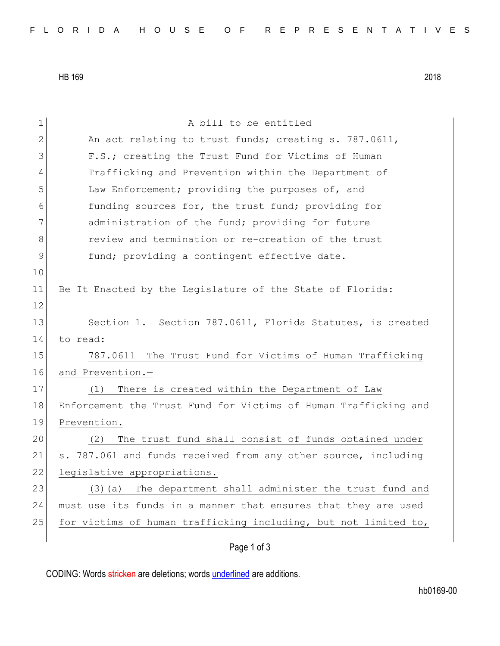HB 169 2018

| $\mathbf 1$   | A bill to be entitled                                           |
|---------------|-----------------------------------------------------------------|
| 2             | An act relating to trust funds; creating s. 787.0611,           |
| 3             | F.S.; creating the Trust Fund for Victims of Human              |
| 4             | Trafficking and Prevention within the Department of             |
| 5             | Law Enforcement; providing the purposes of, and                 |
| 6             | funding sources for, the trust fund; providing for              |
| 7             | administration of the fund; providing for future                |
| 8             | review and termination or re-creation of the trust              |
| $\mathcal{G}$ | fund; providing a contingent effective date.                    |
| 10            |                                                                 |
| 11            | Be It Enacted by the Legislature of the State of Florida:       |
| 12            |                                                                 |
| 13            | Section 1. Section 787.0611, Florida Statutes, is created       |
| 14            | to read:                                                        |
| 15            | 787.0611 The Trust Fund for Victims of Human Trafficking        |
| 16            | and Prevention.-                                                |
| 17            | There is created within the Department of Law<br>(1)            |
| 18            | Enforcement the Trust Fund for Victims of Human Trafficking and |
| 19            | Prevention.                                                     |
| 20            | The trust fund shall consist of funds obtained under<br>(2)     |
| 21            | s. 787.061 and funds received from any other source, including  |
| 22            | legislative appropriations.                                     |
| 23            | The department shall administer the trust fund and<br>$(3)$ (a) |
| 24            | must use its funds in a manner that ensures that they are used  |
| 25            | for victims of human trafficking including, but not limited to, |
|               | Page 1 of 3                                                     |

CODING: Words stricken are deletions; words underlined are additions.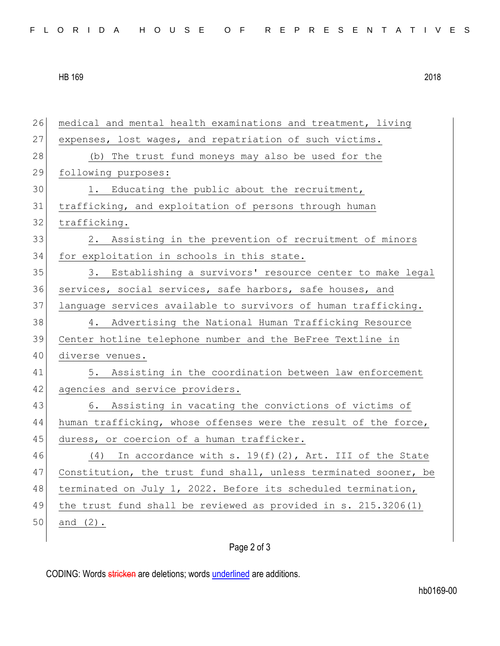HB 169 2018

| 26 | medical and mental health examinations and treatment, living     |
|----|------------------------------------------------------------------|
| 27 | expenses, lost wages, and repatriation of such victims.          |
| 28 | (b) The trust fund moneys may also be used for the               |
| 29 | following purposes:                                              |
| 30 | 1. Educating the public about the recruitment,                   |
| 31 | trafficking, and exploitation of persons through human           |
| 32 | trafficking.                                                     |
| 33 | 2. Assisting in the prevention of recruitment of minors          |
| 34 | for exploitation in schools in this state.                       |
| 35 | 3. Establishing a survivors' resource center to make legal       |
| 36 | services, social services, safe harbors, safe houses, and        |
| 37 | language services available to survivors of human trafficking.   |
| 38 | 4. Advertising the National Human Trafficking Resource           |
| 39 | Center hotline telephone number and the BeFree Textline in       |
| 40 | diverse venues.                                                  |
| 41 | 5. Assisting in the coordination between law enforcement         |
| 42 | agencies and service providers.                                  |
| 43 | 6. Assisting in vacating the convictions of victims of           |
| 44 | human trafficking, whose offenses were the result of the force,  |
| 45 | duress, or coercion of a human trafficker.                       |
| 46 | In accordance with s. $19(f)(2)$ , Art. III of the State<br>(4)  |
| 47 | Constitution, the trust fund shall, unless terminated sooner, be |
| 48 | terminated on July 1, 2022. Before its scheduled termination,    |
| 49 | the trust fund shall be reviewed as provided in s. 215.3206(1)   |
| 50 | and $(2)$ .                                                      |
|    |                                                                  |

## Page 2 of 3

CODING: Words stricken are deletions; words underlined are additions.